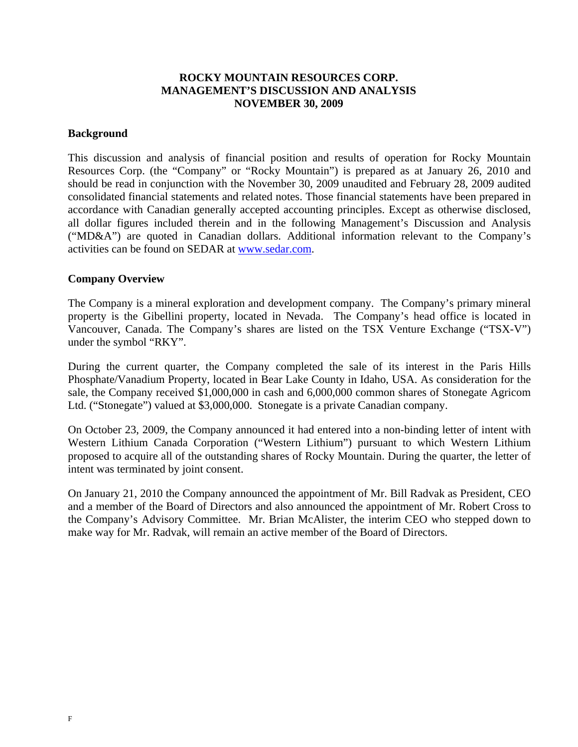# **ROCKY MOUNTAIN RESOURCES CORP. MANAGEMENT'S DISCUSSION AND ANALYSIS NOVEMBER 30, 2009**

### **Background**

This discussion and analysis of financial position and results of operation for Rocky Mountain Resources Corp. (the "Company" or "Rocky Mountain") is prepared as at January 26, 2010 and should be read in conjunction with the November 30, 2009 unaudited and February 28, 2009 audited consolidated financial statements and related notes. Those financial statements have been prepared in accordance with Canadian generally accepted accounting principles. Except as otherwise disclosed, all dollar figures included therein and in the following Management's Discussion and Analysis ("MD&A") are quoted in Canadian dollars. Additional information relevant to the Company's activities can be found on SEDAR at www.sedar.com.

## **Company Overview**

The Company is a mineral exploration and development company. The Company's primary mineral property is the Gibellini property, located in Nevada. The Company's head office is located in Vancouver, Canada. The Company's shares are listed on the TSX Venture Exchange ("TSX-V") under the symbol "RKY".

During the current quarter, the Company completed the sale of its interest in the Paris Hills Phosphate/Vanadium Property, located in Bear Lake County in Idaho, USA. As consideration for the sale, the Company received \$1,000,000 in cash and 6,000,000 common shares of Stonegate Agricom Ltd. ("Stonegate") valued at \$3,000,000. Stonegate is a private Canadian company.

On October 23, 2009, the Company announced it had entered into a non-binding letter of intent with Western Lithium Canada Corporation ("Western Lithium") pursuant to which Western Lithium proposed to acquire all of the outstanding shares of Rocky Mountain. During the quarter, the letter of intent was terminated by joint consent.

On January 21, 2010 the Company announced the appointment of Mr. Bill Radvak as President, CEO and a member of the Board of Directors and also announced the appointment of Mr. Robert Cross to the Company's Advisory Committee. Mr. Brian McAlister, the interim CEO who stepped down to make way for Mr. Radvak, will remain an active member of the Board of Directors.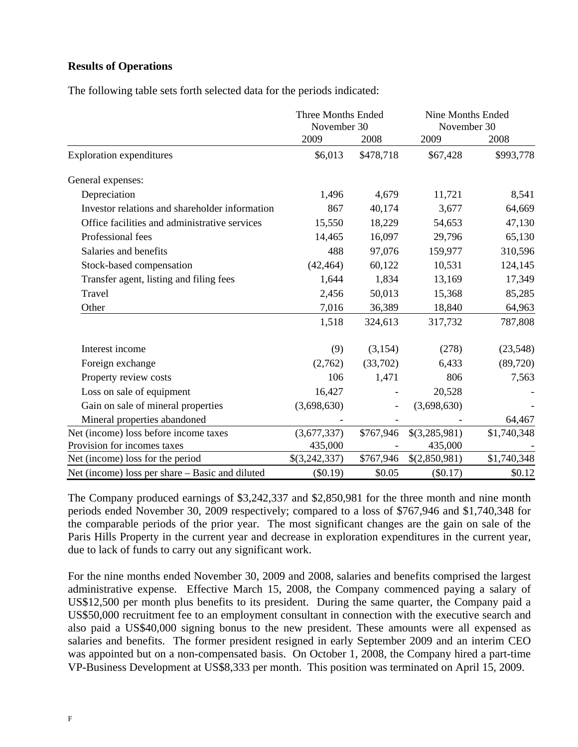# **Results of Operations**

The following table sets forth selected data for the periods indicated:

|                                                 | Three Months Ended<br>November 30 |                   | Nine Months Ended<br>November 30 |             |
|-------------------------------------------------|-----------------------------------|-------------------|----------------------------------|-------------|
|                                                 | 2009                              | 2008              | 2009                             | 2008        |
| <b>Exploration expenditures</b>                 | \$6,013                           | \$478,718         | \$67,428                         | \$993,778   |
| General expenses:                               |                                   |                   |                                  |             |
| Depreciation                                    | 1,496                             | 4,679             | 11,721                           | 8,541       |
| Investor relations and shareholder information  | 867                               | 40,174            | 3,677                            | 64,669      |
| Office facilities and administrative services   | 15,550                            | 18,229            | 54,653                           | 47,130      |
| Professional fees                               | 14,465                            | 16,097            | 29,796                           | 65,130      |
| Salaries and benefits                           | 488                               | 97,076            | 159,977                          | 310,596     |
| Stock-based compensation                        | (42, 464)                         | 60,122            | 10,531                           | 124,145     |
| Transfer agent, listing and filing fees         | 1,644                             | 1,834             | 13,169                           | 17,349      |
| Travel                                          | 2,456                             | 50,013            | 15,368                           | 85,285      |
| Other                                           | 7,016                             | 36,389            | 18,840                           | 64,963      |
|                                                 | 1,518                             | 324,613           | 317,732                          | 787,808     |
| Interest income                                 | (9)                               | (3,154)           | (278)                            | (23,548)    |
| Foreign exchange                                | (2,762)                           | (33,702)          | 6,433                            | (89, 720)   |
| Property review costs                           | 106                               | 1,471             | 806                              | 7,563       |
| Loss on sale of equipment                       | 16,427                            |                   | 20,528                           |             |
| Gain on sale of mineral properties              | (3,698,630)                       | $\qquad \qquad -$ | (3,698,630)                      |             |
| Mineral properties abandoned                    |                                   |                   |                                  | 64,467      |
| Net (income) loss before income taxes           | (3,677,337)                       | \$767,946         | \$(3,285,981)                    | \$1,740,348 |
| Provision for incomes taxes                     | 435,000                           |                   | 435,000                          |             |
| Net (income) loss for the period                | \$(3,242,337)                     | \$767,946         | \$(2,850,981)                    | \$1,740,348 |
| Net (income) loss per share – Basic and diluted | $(\$0.19)$                        | \$0.05            | $(\$0.17)$                       | \$0.12      |

The Company produced earnings of \$3,242,337 and \$2,850,981 for the three month and nine month periods ended November 30, 2009 respectively; compared to a loss of \$767,946 and \$1,740,348 for the comparable periods of the prior year. The most significant changes are the gain on sale of the Paris Hills Property in the current year and decrease in exploration expenditures in the current year, due to lack of funds to carry out any significant work.

For the nine months ended November 30, 2009 and 2008, salaries and benefits comprised the largest administrative expense. Effective March 15, 2008, the Company commenced paying a salary of US\$12,500 per month plus benefits to its president. During the same quarter, the Company paid a US\$50,000 recruitment fee to an employment consultant in connection with the executive search and also paid a US\$40,000 signing bonus to the new president. These amounts were all expensed as salaries and benefits. The former president resigned in early September 2009 and an interim CEO was appointed but on a non-compensated basis. On October 1, 2008, the Company hired a part-time VP-Business Development at US\$8,333 per month. This position was terminated on April 15, 2009.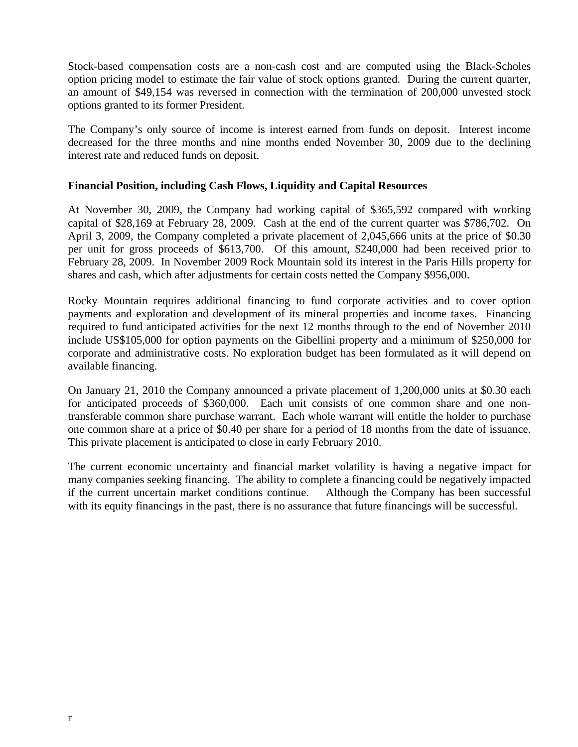Stock-based compensation costs are a non-cash cost and are computed using the Black-Scholes option pricing model to estimate the fair value of stock options granted. During the current quarter, an amount of \$49,154 was reversed in connection with the termination of 200,000 unvested stock options granted to its former President.

The Company's only source of income is interest earned from funds on deposit. Interest income decreased for the three months and nine months ended November 30, 2009 due to the declining interest rate and reduced funds on deposit.

### **Financial Position, including Cash Flows, Liquidity and Capital Resources**

At November 30, 2009, the Company had working capital of \$365,592 compared with working capital of \$28,169 at February 28, 2009. Cash at the end of the current quarter was \$786,702. On April 3, 2009, the Company completed a private placement of 2,045,666 units at the price of \$0.30 per unit for gross proceeds of \$613,700. Of this amount, \$240,000 had been received prior to February 28, 2009. In November 2009 Rock Mountain sold its interest in the Paris Hills property for shares and cash, which after adjustments for certain costs netted the Company \$956,000.

Rocky Mountain requires additional financing to fund corporate activities and to cover option payments and exploration and development of its mineral properties and income taxes. Financing required to fund anticipated activities for the next 12 months through to the end of November 2010 include US\$105,000 for option payments on the Gibellini property and a minimum of \$250,000 for corporate and administrative costs. No exploration budget has been formulated as it will depend on available financing.

On January 21, 2010 the Company announced a private placement of 1,200,000 units at \$0.30 each for anticipated proceeds of \$360,000. Each unit consists of one common share and one nontransferable common share purchase warrant. Each whole warrant will entitle the holder to purchase one common share at a price of \$0.40 per share for a period of 18 months from the date of issuance. This private placement is anticipated to close in early February 2010.

The current economic uncertainty and financial market volatility is having a negative impact for many companies seeking financing. The ability to complete a financing could be negatively impacted if the current uncertain market conditions continue. Although the Company has been successful with its equity financings in the past, there is no assurance that future financings will be successful.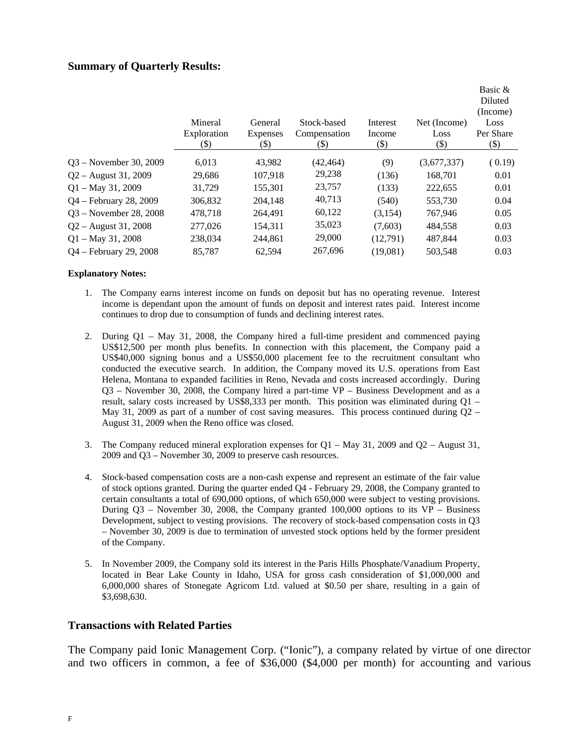### **Summary of Quarterly Results:**

|                        | Mineral<br>Exploration<br>(\$) | General<br><b>Expenses</b><br>(\$) | Stock-based<br>Compensation<br>(\$) | Interest<br>Income<br>(\$) | Net (Income)<br>Loss<br>$(\$)$ | Basic &<br>Diluted<br>(Income)<br>Loss<br>Per Share<br>$(\$)$ |
|------------------------|--------------------------------|------------------------------------|-------------------------------------|----------------------------|--------------------------------|---------------------------------------------------------------|
| 03 – November 30, 2009 | 6,013                          | 43,982                             | (42, 464)                           | (9)                        | (3,677,337)                    | (0.19)                                                        |
| $Q2 -$ August 31, 2009 | 29,686                         | 107,918                            | 29,238                              | (136)                      | 168,701                        | 0.01                                                          |
| $Q1 - May 31, 2009$    | 31,729                         | 155,301                            | 23,757                              | (133)                      | 222,655                        | 0.01                                                          |
| Q4 – February 28, 2009 | 306,832                        | 204.148                            | 40,713                              | (540)                      | 553,730                        | 0.04                                                          |
| Q3 – November 28, 2008 | 478,718                        | 264,491                            | 60,122                              | (3,154)                    | 767,946                        | 0.05                                                          |
| 02 – August 31, 2008   | 277,026                        | 154,311                            | 35,023                              | (7,603)                    | 484,558                        | 0.03                                                          |
| $Q1 - May 31, 2008$    | 238,034                        | 244.861                            | 29,000                              | (12,791)                   | 487.844                        | 0.03                                                          |
| Q4 – February 29, 2008 | 85,787                         | 62.594                             | 267,696                             | (19,081)                   | 503,548                        | 0.03                                                          |
|                        |                                |                                    |                                     |                            |                                |                                                               |

#### **Explanatory Notes:**

- 1. The Company earns interest income on funds on deposit but has no operating revenue. Interest income is dependant upon the amount of funds on deposit and interest rates paid. Interest income continues to drop due to consumption of funds and declining interest rates.
- 2. During Q1 May 31, 2008, the Company hired a full-time president and commenced paying US\$12,500 per month plus benefits. In connection with this placement, the Company paid a US\$40,000 signing bonus and a US\$50,000 placement fee to the recruitment consultant who conducted the executive search. In addition, the Company moved its U.S. operations from East Helena, Montana to expanded facilities in Reno, Nevada and costs increased accordingly. During Q3 – November 30, 2008, the Company hired a part-time VP – Business Development and as a result, salary costs increased by US\$8,333 per month. This position was eliminated during  $O1 -$ May 31, 2009 as part of a number of cost saving measures. This process continued during  $Q2 -$ August 31, 2009 when the Reno office was closed.
- 3. The Company reduced mineral exploration expenses for Q1 May 31, 2009 and Q2 August 31, 2009 and Q3 – November 30, 2009 to preserve cash resources.
- 4. Stock-based compensation costs are a non-cash expense and represent an estimate of the fair value of stock options granted. During the quarter ended Q4 - February 29, 2008, the Company granted to certain consultants a total of 690,000 options, of which 650,000 were subject to vesting provisions. During  $Q3$  – November 30, 2008, the Company granted 100,000 options to its VP – Business Development, subject to vesting provisions. The recovery of stock-based compensation costs in Q3 – November 30, 2009 is due to termination of unvested stock options held by the former president of the Company.
- 5. In November 2009, the Company sold its interest in the Paris Hills Phosphate/Vanadium Property, located in Bear Lake County in Idaho, USA for gross cash consideration of \$1,000,000 and 6,000,000 shares of Stonegate Agricom Ltd. valued at \$0.50 per share, resulting in a gain of \$3,698,630.

#### **Transactions with Related Parties**

The Company paid Ionic Management Corp. ("Ionic"), a company related by virtue of one director and two officers in common, a fee of \$36,000 (\$4,000 per month) for accounting and various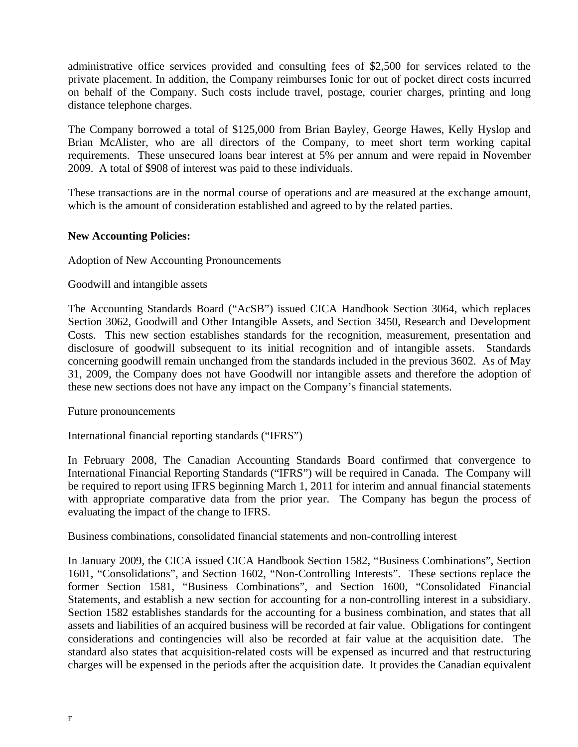administrative office services provided and consulting fees of \$2,500 for services related to the private placement. In addition, the Company reimburses Ionic for out of pocket direct costs incurred on behalf of the Company. Such costs include travel, postage, courier charges, printing and long distance telephone charges.

The Company borrowed a total of \$125,000 from Brian Bayley, George Hawes, Kelly Hyslop and Brian McAlister, who are all directors of the Company, to meet short term working capital requirements. These unsecured loans bear interest at 5% per annum and were repaid in November 2009. A total of \$908 of interest was paid to these individuals.

These transactions are in the normal course of operations and are measured at the exchange amount, which is the amount of consideration established and agreed to by the related parties.

## **New Accounting Policies:**

Adoption of New Accounting Pronouncements

### Goodwill and intangible assets

The Accounting Standards Board ("AcSB") issued CICA Handbook Section 3064, which replaces Section 3062, Goodwill and Other Intangible Assets, and Section 3450, Research and Development Costs. This new section establishes standards for the recognition, measurement, presentation and disclosure of goodwill subsequent to its initial recognition and of intangible assets. Standards concerning goodwill remain unchanged from the standards included in the previous 3602. As of May 31, 2009, the Company does not have Goodwill nor intangible assets and therefore the adoption of these new sections does not have any impact on the Company's financial statements.

### Future pronouncements

International financial reporting standards ("IFRS")

In February 2008, The Canadian Accounting Standards Board confirmed that convergence to International Financial Reporting Standards ("IFRS") will be required in Canada. The Company will be required to report using IFRS beginning March 1, 2011 for interim and annual financial statements with appropriate comparative data from the prior year. The Company has begun the process of evaluating the impact of the change to IFRS.

Business combinations, consolidated financial statements and non-controlling interest

In January 2009, the CICA issued CICA Handbook Section 1582, "Business Combinations", Section 1601, "Consolidations", and Section 1602, "Non-Controlling Interests". These sections replace the former Section 1581, "Business Combinations", and Section 1600, "Consolidated Financial Statements, and establish a new section for accounting for a non-controlling interest in a subsidiary. Section 1582 establishes standards for the accounting for a business combination, and states that all assets and liabilities of an acquired business will be recorded at fair value. Obligations for contingent considerations and contingencies will also be recorded at fair value at the acquisition date. The standard also states that acquisition-related costs will be expensed as incurred and that restructuring charges will be expensed in the periods after the acquisition date. It provides the Canadian equivalent